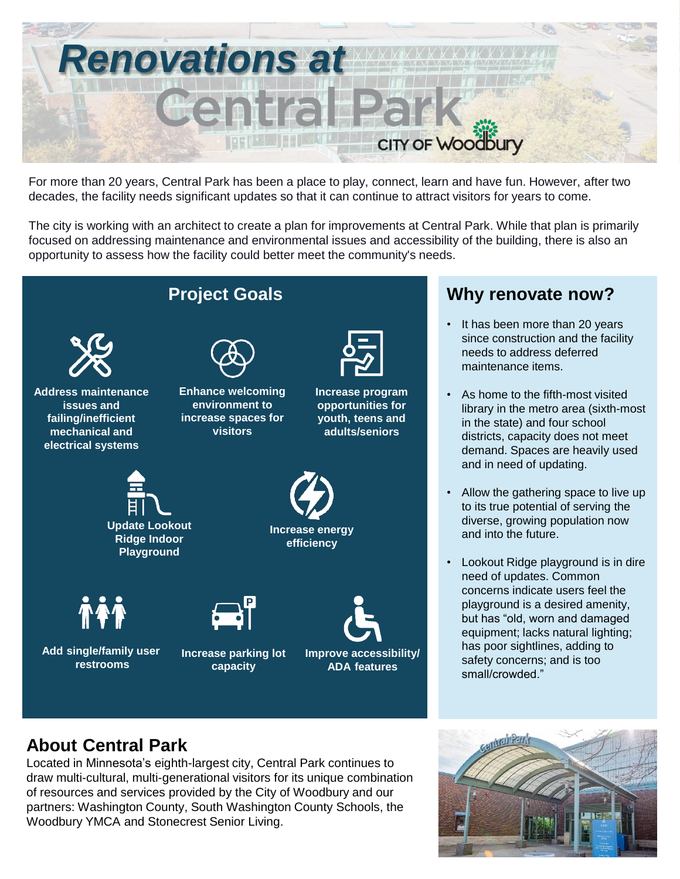

For more than 20 years, Central Park has been a place to play, connect, learn and have fun. However, after two decades, the facility needs significant updates so that it can continue to attract visitors for years to come.

The city is working with an architect to create a plan for improvements at Central Park. While that plan is primarily focused on addressing maintenance and environmental issues and accessibility of the building, there is also an opportunity to assess how the facility could better meet the community's needs.



## **About Central Park**

Located in Minnesota's eighth-largest city, Central Park continues to draw multi-cultural, multi-generational visitors for its unique combination of resources and services provided by the City of Woodbury and our partners: Washington County, South Washington County Schools, the Woodbury YMCA and Stonecrest Senior Living.